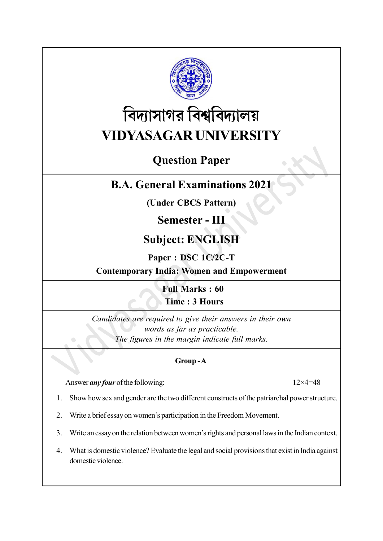

# বিদ্যাসাগর বিশ্ববিদ্যালয় VIDYASAGAR UNIVERSITY

### Question Paper

### B.A. General Examinations 2021

(Under CBCS Pattern)

### Semester - III

## Subject: ENGLISH

#### Paper : DSC 1C/2C-T

Contemporary India: Women and Empowerment

Full Marks : 60 Time : 3 Hours

Candidates are required to give their answers in their own words as far as practicable. The figures in the margin indicate full marks.

#### Group - A

Answer *any four* of the following:  $12 \times 4 = 48$ 

- 1. Show how sex and gender are the two different constructs of the patriarchal power structure.
- 2. Write a brief essay on women's participation in the Freedom Movement.
- 3. Write an essay on the relation between women's rights and personal laws in the Indian context.
- 4. What is domestic violence? Evaluate the legal and social provisions that exist in India against domestic violence.